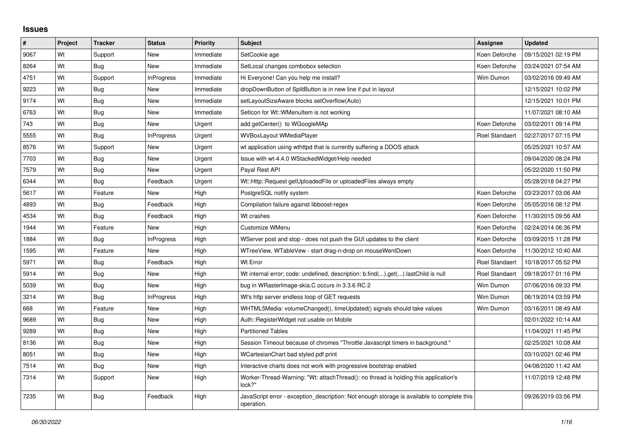## **Issues**

| $\vert$ # | <b>Project</b> | <b>Tracker</b> | <b>Status</b>     | <b>Priority</b> | <b>Subject</b>                                                                                           | <b>Assignee</b>       | <b>Updated</b>      |
|-----------|----------------|----------------|-------------------|-----------------|----------------------------------------------------------------------------------------------------------|-----------------------|---------------------|
| 9067      | Wt             | Support        | New               | Immediate       | SetCookie age                                                                                            | Koen Deforche         | 09/15/2021 02:19 PM |
| 8264      | Wt             | Bug            | <b>New</b>        | Immediate       | SetLocal changes combobox selection                                                                      | Koen Deforche         | 03/24/2021 07:54 AM |
| 4751      | Wt             | Support        | <b>InProgress</b> | Immediate       | Hi Everyone! Can you help me install?                                                                    | Wim Dumon             | 03/02/2016 09:49 AM |
| 9223      | Wt             | Bug            | <b>New</b>        | Immediate       | dropDownButton of SplitButton is in new line if put in layout                                            |                       | 12/15/2021 10:02 PM |
| 9174      | Wt             | Bug            | <b>New</b>        | Immediate       | setLayoutSizeAware blocks setOverflow(Auto)                                                              |                       | 12/15/2021 10:01 PM |
| 6763      | Wt             | Bug            | <b>New</b>        | Immediate       | Seticon for Wt::WMenuitem is not working                                                                 |                       | 11/07/2021 08:10 AM |
| 743       | Wt             | <b>Bug</b>     | <b>New</b>        | Urgent          | add getCenter() to WGoogleMAp                                                                            | Koen Deforche         | 03/02/2011 09:14 PM |
| 5555      | Wt             | Bug            | <b>InProgress</b> | Urgent          | <b>WVBoxLayout WMediaPlayer</b>                                                                          | <b>Roel Standaert</b> | 02/27/2017 07:15 PM |
| 8576      | Wt             | Support        | <b>New</b>        | Urgent          | wt application using wthttpd that is currently suffering a DDOS attack                                   |                       | 05/25/2021 10:57 AM |
| 7703      | Wt             | Bug            | <b>New</b>        | Urgent          | Issue with wt-4.4.0 WStackedWidget/Help needed                                                           |                       | 09/04/2020 08:24 PM |
| 7579      | Wt             | <b>Bug</b>     | <b>New</b>        | Urgent          | Payal Rest API                                                                                           |                       | 05/22/2020 11:50 PM |
| 6344      | Wt             | Bug            | Feedback          | Urgent          | Wt::Http::Request getUploadedFile or uploadedFiles always empty                                          |                       | 05/28/2018 04:27 PM |
| 5617      | Wt             | Feature        | <b>New</b>        | High            | PostgreSQL notify system                                                                                 | Koen Deforche         | 03/23/2017 03:06 AM |
| 4893      | Wt             | Bug            | Feedback          | High            | Compilation failure against libboost-regex                                                               | Koen Deforche         | 05/05/2016 08:12 PM |
| 4534      | Wt             | Bug            | Feedback          | High            | Wt crashes                                                                                               | Koen Deforche         | 11/30/2015 09:56 AM |
| 1944      | Wt             | Feature        | <b>New</b>        | High            | Customize WMenu                                                                                          | Koen Deforche         | 02/24/2014 06:36 PM |
| 1884      | Wt             | Bug            | <b>InProgress</b> | High            | WServer post and stop - does not push the GUI updates to the client                                      | Koen Deforche         | 03/09/2015 11:28 PM |
| 1595      | Wt             | Feature        | New               | High            | WTreeView, WTableVew - start drag-n-drop on mouseWentDown                                                | Koen Deforche         | 11/30/2012 10:40 AM |
| 5971      | Wt             | Bug            | Feedback          | High            | Wt Error                                                                                                 | <b>Roel Standaert</b> | 10/18/2017 05:52 PM |
| 5914      | Wt             | Bug            | <b>New</b>        | High            | Wt internal error; code: undefined, description: b.find().get().lastChild is null                        | <b>Roel Standaert</b> | 09/18/2017 01:16 PM |
| 5039      | Wt             | <b>Bug</b>     | New               | High            | bug in WRasterImage-skia.C occurs in 3.3.6 RC 2                                                          | Wim Dumon             | 07/06/2016 09:33 PM |
| 3214      | Wt             | Bug            | <b>InProgress</b> | High            | Wt's http server endless loop of GET requests                                                            | Wim Dumon             | 06/19/2014 03:59 PM |
| 668       | Wt             | Feature        | <b>New</b>        | High            | WHTML5Media: volumeChanged(), timeUpdated() signals should take values                                   | Wim Dumon             | 03/16/2011 08:49 AM |
| 9689      | Wt             | <b>Bug</b>     | New               | High            | Auth::RegisterWidget not usable on Mobile                                                                |                       | 02/01/2022 10:14 AM |
| 9289      | Wt             | Bug            | <b>New</b>        | High            | <b>Partitioned Tables</b>                                                                                |                       | 11/04/2021 11:45 PM |
| 8136      | Wt             | Bug            | <b>New</b>        | High            | Session Timeout because of chromes "Throttle Javascript timers in background."                           |                       | 02/25/2021 10:08 AM |
| 8051      | Wt             | <b>Bug</b>     | New               | High            | WCartesianChart bad styled pdf print                                                                     |                       | 03/10/2021 02:46 PM |
| 7514      | Wt             | <b>Bug</b>     | <b>New</b>        | High            | Interactive charts does not work with progressive bootstrap enabled                                      |                       | 04/08/2020 11:42 AM |
| 7314      | Wt             | Support        | <b>New</b>        | High            | Worker-Thread-Warning: "Wt: attachThread(): no thread is holding this application's<br>lock?"            |                       | 11/07/2019 12:48 PM |
| 7235      | Wt             | Bug            | Feedback          | High            | JavaScript error - exception description: Not enough storage is available to complete this<br>operation. |                       | 09/26/2019 03:56 PM |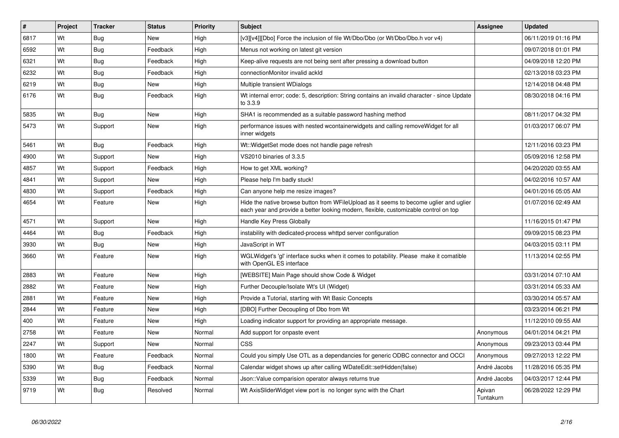| #    | Project | <b>Tracker</b> | <b>Status</b> | <b>Priority</b> | Subject                                                                                                                                                                        | <b>Assignee</b>     | <b>Updated</b>      |
|------|---------|----------------|---------------|-----------------|--------------------------------------------------------------------------------------------------------------------------------------------------------------------------------|---------------------|---------------------|
| 6817 | Wt      | Bug            | New           | High            | [v3][v4]][Dbo] Force the inclusion of file Wt/Dbo/Dbo (or Wt/Dbo/Dbo.h vor v4)                                                                                                 |                     | 06/11/2019 01:16 PM |
| 6592 | Wt      | <b>Bug</b>     | Feedback      | High            | Menus not working on latest git version                                                                                                                                        |                     | 09/07/2018 01:01 PM |
| 6321 | Wt      | <b>Bug</b>     | Feedback      | High            | Keep-alive requests are not being sent after pressing a download button                                                                                                        |                     | 04/09/2018 12:20 PM |
| 6232 | Wt      | <b>Bug</b>     | Feedback      | High            | connectionMonitor invalid ackId                                                                                                                                                |                     | 02/13/2018 03:23 PM |
| 6219 | Wt      | Bug            | New           | High            | Multiple transient WDialogs                                                                                                                                                    |                     | 12/14/2018 04:48 PM |
| 6176 | Wt      | <b>Bug</b>     | Feedback      | High            | Wt internal error; code: 5, description: String contains an invalid character - since Update<br>to 3.3.9                                                                       |                     | 08/30/2018 04:16 PM |
| 5835 | Wt      | Bug            | New           | High            | SHA1 is recommended as a suitable password hashing method                                                                                                                      |                     | 08/11/2017 04:32 PM |
| 5473 | Wt      | Support        | New           | High            | performance issues with nested wcontainerwidgets and calling remove Widget for all<br>inner widgets                                                                            |                     | 01/03/2017 06:07 PM |
| 5461 | Wt      | Bug            | Feedback      | High            | Wt:: Widget Set mode does not handle page refresh                                                                                                                              |                     | 12/11/2016 03:23 PM |
| 4900 | Wt      | Support        | <b>New</b>    | High            | VS2010 binaries of 3.3.5                                                                                                                                                       |                     | 05/09/2016 12:58 PM |
| 4857 | Wt      | Support        | Feedback      | High            | How to get XML working?                                                                                                                                                        |                     | 04/20/2020 03:55 AM |
| 4841 | Wt      | Support        | New           | High            | Please help I'm badly stuck!                                                                                                                                                   |                     | 04/02/2016 10:57 AM |
| 4830 | Wt      | Support        | Feedback      | High            | Can anyone help me resize images?                                                                                                                                              |                     | 04/01/2016 05:05 AM |
| 4654 | Wt      | Feature        | New           | High            | Hide the native browse button from WFileUpload as it seems to become uglier and uglier<br>each year and provide a better looking modern, flexible, customizable control on top |                     | 01/07/2016 02:49 AM |
| 4571 | Wt      | Support        | <b>New</b>    | High            | Handle Key Press Globally                                                                                                                                                      |                     | 11/16/2015 01:47 PM |
| 4464 | Wt      | Bug            | Feedback      | High            | instability with dedicated-process whttpd server configuration                                                                                                                 |                     | 09/09/2015 08:23 PM |
| 3930 | Wt      | <b>Bug</b>     | New           | High            | JavaScript in WT                                                                                                                                                               |                     | 04/03/2015 03:11 PM |
| 3660 | Wt      | Feature        | New           | High            | WGLWidget's 'gl' interface sucks when it comes to potability. Please make it comatible<br>with OpenGL ES interface                                                             |                     | 11/13/2014 02:55 PM |
| 2883 | Wt      | Feature        | <b>New</b>    | High            | [WEBSITE] Main Page should show Code & Widget                                                                                                                                  |                     | 03/31/2014 07:10 AM |
| 2882 | Wt      | Feature        | New           | High            | Further Decouple/Isolate Wt's UI (Widget)                                                                                                                                      |                     | 03/31/2014 05:33 AM |
| 2881 | Wt      | Feature        | New           | High            | Provide a Tutorial, starting with Wt Basic Concepts                                                                                                                            |                     | 03/30/2014 05:57 AM |
| 2844 | Wt      | Feature        | <b>New</b>    | High            | [DBO] Further Decoupling of Dbo from Wt                                                                                                                                        |                     | 03/23/2014 06:21 PM |
| 400  | Wt      | Feature        | <b>New</b>    | High            | Loading indicator support for providing an appropriate message.                                                                                                                |                     | 11/12/2010 09:55 AM |
| 2758 | Wt      | Feature        | New           | Normal          | Add support for onpaste event                                                                                                                                                  | Anonymous           | 04/01/2014 04:21 PM |
| 2247 | Wt      | Support        | <b>New</b>    | Normal          | <b>CSS</b>                                                                                                                                                                     | Anonymous           | 09/23/2013 03:44 PM |
| 1800 | Wt      | Feature        | Feedback      | Normal          | Could you simply Use OTL as a dependancies for generic ODBC connector and OCCI                                                                                                 | Anonymous           | 09/27/2013 12:22 PM |
| 5390 | Wt      | <b>Bug</b>     | Feedback      | Normal          | Calendar widget shows up after calling WDateEdit::setHidden(false)                                                                                                             | André Jacobs        | 11/28/2016 05:35 PM |
| 5339 | Wt      | Bug            | Feedback      | Normal          | Json::Value comparision operator always returns true                                                                                                                           | André Jacobs        | 04/03/2017 12:44 PM |
| 9719 | Wt      | Bug            | Resolved      | Normal          | Wt AxisSliderWidget view port is no longer sync with the Chart                                                                                                                 | Apivan<br>Tuntakurn | 06/28/2022 12:29 PM |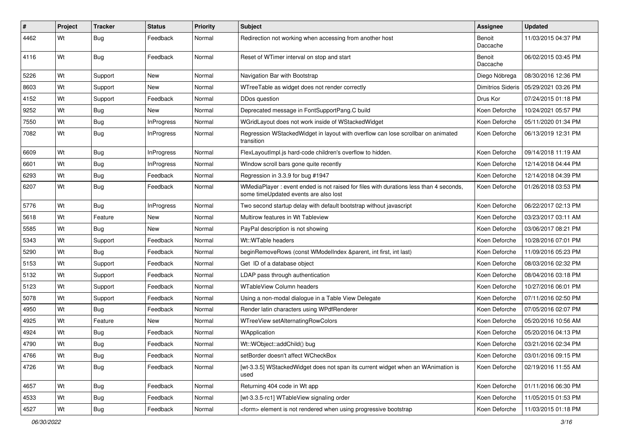| $\vert$ # | Project | <b>Tracker</b> | <b>Status</b>     | <b>Priority</b> | Subject                                                                                                                        | Assignee                 | <b>Updated</b>      |
|-----------|---------|----------------|-------------------|-----------------|--------------------------------------------------------------------------------------------------------------------------------|--------------------------|---------------------|
| 4462      | Wt      | Bug            | Feedback          | Normal          | Redirection not working when accessing from another host                                                                       | Benoit<br>Daccache       | 11/03/2015 04:37 PM |
| 4116      | Wt      | <b>Bug</b>     | Feedback          | Normal          | Reset of WTimer interval on stop and start                                                                                     | Benoit<br>Daccache       | 06/02/2015 03:45 PM |
| 5226      | Wt      | Support        | <b>New</b>        | Normal          | Navigation Bar with Bootstrap                                                                                                  | Diego Nóbrega            | 08/30/2016 12:36 PM |
| 8603      | Wt      | Support        | New               | Normal          | WTreeTable as widget does not render correctly                                                                                 | <b>Dimitrios Sideris</b> | 05/29/2021 03:26 PM |
| 4152      | Wt      | Support        | Feedback          | Normal          | DDos question                                                                                                                  | Drus Kor                 | 07/24/2015 01:18 PM |
| 9252      | Wt      | Bug            | New               | Normal          | Deprecated message in FontSupportPang.C build                                                                                  | Koen Deforche            | 10/24/2021 05:57 PM |
| 7550      | Wt      | Bug            | <b>InProgress</b> | Normal          | WGridLayout does not work inside of WStackedWidget                                                                             | Koen Deforche            | 05/11/2020 01:34 PM |
| 7082      | Wt      | Bug            | <b>InProgress</b> | Normal          | Regression WStackedWidget in layout with overflow can lose scrollbar on animated<br>transition                                 | Koen Deforche            | 06/13/2019 12:31 PM |
| 6609      | Wt      | Bug            | <b>InProgress</b> | Normal          | FlexLayoutImpl.js hard-code children's overflow to hidden.                                                                     | Koen Deforche            | 09/14/2018 11:19 AM |
| 6601      | Wt      | Bug            | <b>InProgress</b> | Normal          | WIndow scroll bars gone quite recently                                                                                         | Koen Deforche            | 12/14/2018 04:44 PM |
| 6293      | Wt      | Bug            | Feedback          | Normal          | Regression in 3.3.9 for bug #1947                                                                                              | Koen Deforche            | 12/14/2018 04:39 PM |
| 6207      | Wt      | Bug            | Feedback          | Normal          | WMediaPlayer: event ended is not raised for files with durations less than 4 seconds,<br>some timeUpdated events are also lost | Koen Deforche            | 01/26/2018 03:53 PM |
| 5776      | Wt      | Bug            | <b>InProgress</b> | Normal          | Two second startup delay with default bootstrap without javascript                                                             | Koen Deforche            | 06/22/2017 02:13 PM |
| 5618      | Wt      | Feature        | <b>New</b>        | Normal          | Multirow features in Wt Tableview                                                                                              | Koen Deforche            | 03/23/2017 03:11 AM |
| 5585      | Wt      | <b>Bug</b>     | New               | Normal          | PayPal description is not showing                                                                                              | Koen Deforche            | 03/06/2017 08:21 PM |
| 5343      | Wt      | Support        | Feedback          | Normal          | Wt::WTable headers                                                                                                             | Koen Deforche            | 10/28/2016 07:01 PM |
| 5290      | Wt      | <b>Bug</b>     | Feedback          | Normal          | beginRemoveRows (const WModelIndex &parent, int first, int last)                                                               | Koen Deforche            | 11/09/2016 05:23 PM |
| 5153      | Wt      | Support        | Feedback          | Normal          | Get ID of a database object                                                                                                    | Koen Deforche            | 08/03/2016 02:32 PM |
| 5132      | Wt      | Support        | Feedback          | Normal          | LDAP pass through authentication                                                                                               | Koen Deforche            | 08/04/2016 03:18 PM |
| 5123      | Wt      | Support        | Feedback          | Normal          | <b>WTableView Column headers</b>                                                                                               | Koen Deforche            | 10/27/2016 06:01 PM |
| 5078      | Wt      | Support        | Feedback          | Normal          | Using a non-modal dialogue in a Table View Delegate                                                                            | Koen Deforche            | 07/11/2016 02:50 PM |
| 4950      | Wt      | <b>Bug</b>     | Feedback          | Normal          | Render latin characters using WPdfRenderer                                                                                     | Koen Deforche            | 07/05/2016 02:07 PM |
| 4925      | Wt      | Feature        | New               | Normal          | WTreeView setAlternatingRowColors                                                                                              | Koen Deforche            | 05/20/2016 10:56 AM |
| 4924      | Wt      | Bug            | Feedback          | Normal          | WApplication                                                                                                                   | Koen Deforche            | 05/20/2016 04:13 PM |
| 4790      | Wt      | Bug            | Feedback          | Normal          | Wt::WObject::addChild() bug                                                                                                    | Koen Deforche            | 03/21/2016 02:34 PM |
| 4766      | Wt      | Bug            | Feedback          | Normal          | setBorder doesn't affect WCheckBox                                                                                             | Koen Deforche            | 03/01/2016 09:15 PM |
| 4726      | Wt      | Bug            | Feedback          | Normal          | [wt-3.3.5] WStackedWidget does not span its current widget when an WAnimation is<br>used                                       | Koen Deforche            | 02/19/2016 11:55 AM |
| 4657      | Wt      | Bug            | Feedback          | Normal          | Returning 404 code in Wt app                                                                                                   | Koen Deforche            | 01/11/2016 06:30 PM |
| 4533      | Wt      | <b>Bug</b>     | Feedback          | Normal          | [wt-3.3.5-rc1] WTableView signaling order                                                                                      | Koen Deforche            | 11/05/2015 01:53 PM |
| 4527      | Wt      | Bug            | Feedback          | Normal          | <form> element is not rendered when using progressive bootstrap</form>                                                         | Koen Deforche            | 11/03/2015 01:18 PM |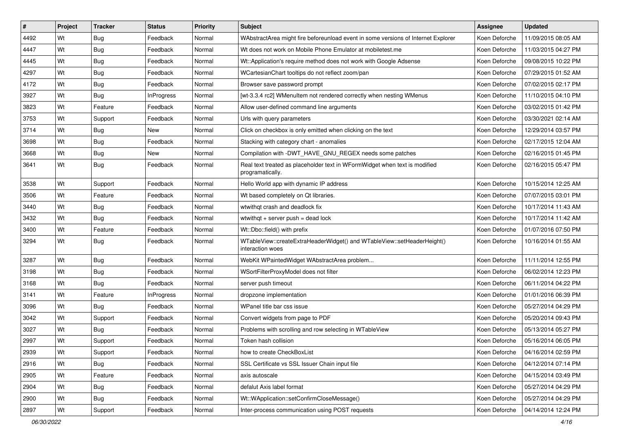| $\vert$ # | Project | <b>Tracker</b> | <b>Status</b>     | Priority | <b>Subject</b>                                                                                 | <b>Assignee</b> | <b>Updated</b>      |
|-----------|---------|----------------|-------------------|----------|------------------------------------------------------------------------------------------------|-----------------|---------------------|
| 4492      | Wt      | <b>Bug</b>     | Feedback          | Normal   | WAbstractArea might fire beforeunload event in some versions of Internet Explorer              | Koen Deforche   | 11/09/2015 08:05 AM |
| 4447      | Wt      | Bug            | Feedback          | Normal   | Wt does not work on Mobile Phone Emulator at mobiletest.me                                     | Koen Deforche   | 11/03/2015 04:27 PM |
| 4445      | Wt      | Bug            | Feedback          | Normal   | Wt::Application's require method does not work with Google Adsense                             | Koen Deforche   | 09/08/2015 10:22 PM |
| 4297      | Wt      | <b>Bug</b>     | Feedback          | Normal   | WCartesianChart tooltips do not reflect zoom/pan                                               | Koen Deforche   | 07/29/2015 01:52 AM |
| 4172      | Wt      | <b>Bug</b>     | Feedback          | Normal   | Browser save password prompt                                                                   | Koen Deforche   | 07/02/2015 02:17 PM |
| 3927      | Wt      | Bug            | <b>InProgress</b> | Normal   | [wt-3.3.4 rc2] WMenuItem not rendered correctly when nesting WMenus                            | Koen Deforche   | 11/10/2015 04:10 PM |
| 3823      | Wt      | Feature        | Feedback          | Normal   | Allow user-defined command line arguments                                                      | Koen Deforche   | 03/02/2015 01:42 PM |
| 3753      | Wt      | Support        | Feedback          | Normal   | Urls with query parameters                                                                     | Koen Deforche   | 03/30/2021 02:14 AM |
| 3714      | Wt      | Bug            | New               | Normal   | Click on checkbox is only emitted when clicking on the text                                    | Koen Deforche   | 12/29/2014 03:57 PM |
| 3698      | Wt      | <b>Bug</b>     | Feedback          | Normal   | Stacking with category chart - anomalies                                                       | Koen Deforche   | 02/17/2015 12:04 AM |
| 3668      | Wt      | Bug            | New               | Normal   | Compilation with -DWT_HAVE_GNU_REGEX needs some patches                                        | Koen Deforche   | 02/16/2015 01:45 PM |
| 3641      | Wt      | Bug            | Feedback          | Normal   | Real text treated as placeholder text in WFormWidget when text is modified<br>programatically. | Koen Deforche   | 02/16/2015 05:47 PM |
| 3538      | Wt      | Support        | Feedback          | Normal   | Hello World app with dynamic IP address                                                        | Koen Deforche   | 10/15/2014 12:25 AM |
| 3506      | Wt      | Feature        | Feedback          | Normal   | Wt based completely on Qt libraries.                                                           | Koen Deforche   | 07/07/2015 03:01 PM |
| 3440      | Wt      | <b>Bug</b>     | Feedback          | Normal   | wtwithgt crash and deadlock fix                                                                | Koen Deforche   | 10/17/2014 11:43 AM |
| 3432      | Wt      | Bug            | Feedback          | Normal   | wtwithgt $+$ server push = dead lock                                                           | Koen Deforche   | 10/17/2014 11:42 AM |
| 3400      | Wt      | Feature        | Feedback          | Normal   | Wt::Dbo::field() with prefix                                                                   | Koen Deforche   | 01/07/2016 07:50 PM |
| 3294      | Wt      | Bug            | Feedback          | Normal   | WTableView::createExtraHeaderWidget() and WTableView::setHeaderHeight()<br>interaction woes    | Koen Deforche   | 10/16/2014 01:55 AM |
| 3287      | Wt      | <b>Bug</b>     | Feedback          | Normal   | WebKit WPaintedWidget WAbstractArea problem                                                    | Koen Deforche   | 11/11/2014 12:55 PM |
| 3198      | Wt      | Bug            | Feedback          | Normal   | WSortFilterProxyModel does not filter                                                          | Koen Deforche   | 06/02/2014 12:23 PM |
| 3168      | Wt      | <b>Bug</b>     | Feedback          | Normal   | server push timeout                                                                            | Koen Deforche   | 06/11/2014 04:22 PM |
| 3141      | Wt      | Feature        | <b>InProgress</b> | Normal   | dropzone implementation                                                                        | Koen Deforche   | 01/01/2016 06:39 PM |
| 3096      | Wt      | Bug            | Feedback          | Normal   | WPanel title bar css issue                                                                     | Koen Deforche   | 05/27/2014 04:29 PM |
| 3042      | Wt      | Support        | Feedback          | Normal   | Convert widgets from page to PDF                                                               | Koen Deforche   | 05/20/2014 09:43 PM |
| 3027      | Wt      | Bug            | Feedback          | Normal   | Problems with scrolling and row selecting in WTableView                                        | Koen Deforche   | 05/13/2014 05:27 PM |
| 2997      | Wt      | Support        | Feedback          | Normal   | Token hash collision                                                                           | Koen Deforche   | 05/16/2014 06:05 PM |
| 2939      | Wt      | Support        | Feedback          | Normal   | how to create CheckBoxList                                                                     | Koen Deforche   | 04/16/2014 02:59 PM |
| 2916      | Wt      | <b>Bug</b>     | Feedback          | Normal   | SSL Certificate vs SSL Issuer Chain input file                                                 | Koen Deforche   | 04/12/2014 07:14 PM |
| 2905      | Wt      | Feature        | Feedback          | Normal   | axis autoscale                                                                                 | Koen Deforche   | 04/15/2014 03:49 PM |
| 2904      | Wt      | Bug            | Feedback          | Normal   | defalut Axis label format                                                                      | Koen Deforche   | 05/27/2014 04:29 PM |
| 2900      | Wt      | Bug            | Feedback          | Normal   | Wt::WApplication::setConfirmCloseMessage()                                                     | Koen Deforche   | 05/27/2014 04:29 PM |
| 2897      | Wt      | Support        | Feedback          | Normal   | Inter-process communication using POST requests                                                | Koen Deforche   | 04/14/2014 12:24 PM |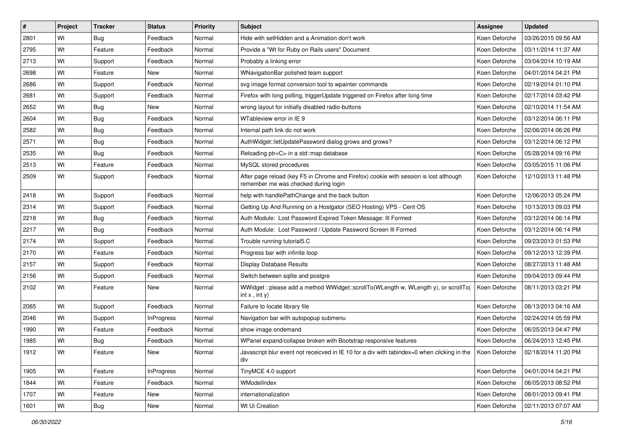| #    | Project | <b>Tracker</b> | <b>Status</b>     | <b>Priority</b> | <b>Subject</b>                                                                                                                | <b>Assignee</b> | <b>Updated</b>      |
|------|---------|----------------|-------------------|-----------------|-------------------------------------------------------------------------------------------------------------------------------|-----------------|---------------------|
| 2801 | Wt      | Bug            | Feedback          | Normal          | Hide with setHidden and a Animation don't work                                                                                | Koen Deforche   | 03/26/2015 09:56 AM |
| 2795 | Wt      | Feature        | Feedback          | Normal          | Provide a "Wt for Ruby on Rails users" Document                                                                               | Koen Deforche   | 03/11/2014 11:37 AM |
| 2713 | Wt      | Support        | Feedback          | Normal          | Probably a linking error                                                                                                      | Koen Deforche   | 03/04/2014 10:19 AM |
| 2698 | Wt      | Feature        | <b>New</b>        | Normal          | WNavigationBar polished team support                                                                                          | Koen Deforche   | 04/01/2014 04:21 PM |
| 2686 | Wt      | Support        | Feedback          | Normal          | svg image format conversion tool to wpainter commands                                                                         | Koen Deforche   | 02/19/2014 01:10 PM |
| 2681 | Wt      | Support        | Feedback          | Normal          | Firefox with long polling, triggerUpdate triggered on Firefox after long time                                                 | Koen Deforche   | 02/17/2014 03:42 PM |
| 2652 | Wt      | <b>Bug</b>     | New               | Normal          | wrong layout for initially disabled radio-buttons                                                                             | Koen Deforche   | 02/10/2014 11:54 AM |
| 2604 | Wt      | Bug            | Feedback          | Normal          | WTableview error in IE 9                                                                                                      | Koen Deforche   | 03/12/2014 06:11 PM |
| 2582 | Wt      | Bug            | Feedback          | Normal          | Internal path link do not work                                                                                                | Koen Deforche   | 02/06/2014 06:26 PM |
| 2571 | Wt      | Bug            | Feedback          | Normal          | AuthWidget::letUpdatePassword dialog grows and grows?                                                                         | Koen Deforche   | 03/12/2014 06:12 PM |
| 2535 | Wt      | Bug            | Feedback          | Normal          | Reloading ptr <c> in a std::map database</c>                                                                                  | Koen Deforche   | 05/28/2014 09:16 PM |
| 2513 | Wt      | Feature        | Feedback          | Normal          | MySQL stored procedures                                                                                                       | Koen Deforche   | 03/05/2015 11:06 PM |
| 2509 | Wt      | Support        | Feedback          | Normal          | After page reload (key F5 in Chrome and Firefox) cookie with session is lost although<br>remember me was checked during login | Koen Deforche   | 12/10/2013 11:48 PM |
| 2418 | Wt      | Support        | Feedback          | Normal          | help with handlePathChange and the back button                                                                                | Koen Deforche   | 12/06/2013 05:24 PM |
| 2314 | Wt      | Support        | Feedback          | Normal          | Getting Up And Running on a Hostgator (SEO Hosting) VPS - Cent OS                                                             | Koen Deforche   | 10/13/2013 09:03 PM |
| 2218 | Wt      | Bug            | Feedback          | Normal          | Auth Module: Lost Password Expired Token Message: Ill Formed                                                                  | Koen Deforche   | 03/12/2014 06:14 PM |
| 2217 | Wt      | Bug            | Feedback          | Normal          | Auth Module: Lost Password / Update Password Screen III Formed                                                                | Koen Deforche   | 03/12/2014 06:14 PM |
| 2174 | Wt      | Support        | Feedback          | Normal          | Trouble running tutorial5.C                                                                                                   | Koen Deforche   | 09/23/2013 01:53 PM |
| 2170 | Wt      | Feature        | Feedback          | Normal          | Progress bar with infinite loop                                                                                               | Koen Deforche   | 09/12/2013 12:39 PM |
| 2157 | Wt      | Support        | Feedback          | Normal          | <b>Display Database Results</b>                                                                                               | Koen Deforche   | 08/27/2013 11:48 AM |
| 2156 | Wt      | Support        | Feedback          | Normal          | Switch between sqlite and postgre                                                                                             | Koen Deforche   | 09/04/2013 09:44 PM |
| 2102 | Wt      | Feature        | New               | Normal          | WWidget: please add a method WWidget::scrollTo(WLength w, WLength y), or scrollTo(<br>$int x$ , $int y$ )                     | Koen Deforche   | 08/11/2013 03:21 PM |
| 2065 | Wt      | Support        | Feedback          | Normal          | Failure to locate library file                                                                                                | Koen Deforche   | 08/13/2013 04:16 AM |
| 2046 | Wt      | Support        | <b>InProgress</b> | Normal          | Navigation bar with autopopup submenu                                                                                         | Koen Deforche   | 02/24/2014 05:59 PM |
| 1990 | Wt      | Feature        | Feedback          | Normal          | show image ondemand                                                                                                           | Koen Deforche   | 06/25/2013 04:47 PM |
| 1985 | Wt      | <b>Bug</b>     | Feedback          | Normal          | WPanel expand/collapse broken with Bootstrap responsive features                                                              | Koen Deforche   | 06/24/2013 12:45 PM |
| 1912 | Wt      | Feature        | New               | Normal          | Javascript blur event not receicved in IE 10 for a div with tabindex=0 when clicking in the<br>div                            | Koen Deforche   | 02/18/2014 11:20 PM |
| 1905 | Wt      | Feature        | InProgress        | Normal          | TinyMCE 4.0 support                                                                                                           | Koen Deforche   | 04/01/2014 04:21 PM |
| 1844 | Wt      | Feature        | Feedback          | Normal          | WModelIndex                                                                                                                   | Koen Deforche   | 06/05/2013 08:52 PM |
| 1707 | Wt      | Feature        | New               | Normal          | internationalization                                                                                                          | Koen Deforche   | 08/01/2013 09:41 PM |
| 1601 | Wt      | Bug            | New               | Normal          | Wt Ui Creation                                                                                                                | Koen Deforche   | 02/11/2013 07:07 AM |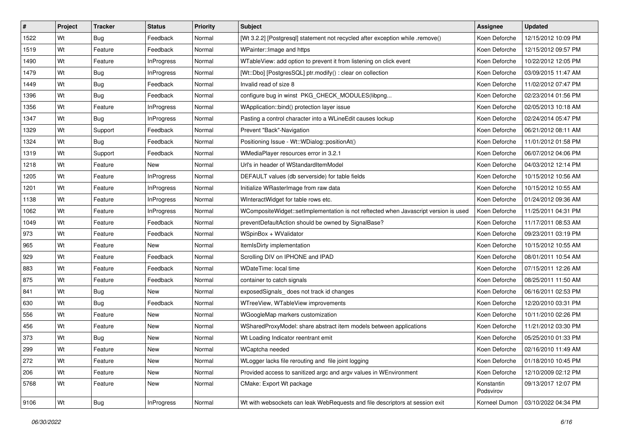| $\vert$ # | Project | <b>Tracker</b> | <b>Status</b>     | <b>Priority</b> | <b>Subject</b>                                                                       | <b>Assignee</b>         | <b>Updated</b>      |
|-----------|---------|----------------|-------------------|-----------------|--------------------------------------------------------------------------------------|-------------------------|---------------------|
| 1522      | Wt      | Bug            | Feedback          | Normal          | [Wt 3.2.2] [Postgresql] statement not recycled after exception while .remove()       | Koen Deforche           | 12/15/2012 10:09 PM |
| 1519      | Wt      | Feature        | Feedback          | Normal          | WPainter:: Image and https                                                           | Koen Deforche           | 12/15/2012 09:57 PM |
| 1490      | Wt      | Feature        | <b>InProgress</b> | Normal          | WTableView: add option to prevent it from listening on click event                   | Koen Deforche           | 10/22/2012 12:05 PM |
| 1479      | Wt      | <b>Bug</b>     | <b>InProgress</b> | Normal          | [Wt::Dbo] [PostgresSQL] ptr.modify() : clear on collection                           | Koen Deforche           | 03/09/2015 11:47 AM |
| 1449      | Wt      | <b>Bug</b>     | Feedback          | Normal          | Invalid read of size 8                                                               | Koen Deforche           | 11/02/2012 07:47 PM |
| 1396      | Wt      | Bug            | Feedback          | Normal          | configure bug in winst PKG CHECK MODULES (libpng                                     | Koen Deforche           | 02/23/2014 01:56 PM |
| 1356      | Wt      | Feature        | <b>InProgress</b> | Normal          | WApplication::bind() protection layer issue                                          | Koen Deforche           | 02/05/2013 10:18 AM |
| 1347      | Wt      | Bug            | <b>InProgress</b> | Normal          | Pasting a control character into a WLineEdit causes lockup                           | Koen Deforche           | 02/24/2014 05:47 PM |
| 1329      | Wt      | Support        | Feedback          | Normal          | Prevent "Back"-Navigation                                                            | Koen Deforche           | 06/21/2012 08:11 AM |
| 1324      | Wt      | <b>Bug</b>     | Feedback          | Normal          | Positioning Issue - Wt:: WDialog:: positionAt()                                      | Koen Deforche           | 11/01/2012 01:58 PM |
| 1319      | Wt      | Support        | Feedback          | Normal          | WMediaPlayer resources error in 3.2.1                                                | Koen Deforche           | 06/07/2012 04:06 PM |
| 1218      | Wt      | Feature        | New               | Normal          | Url's in header of WStandardItemModel                                                | Koen Deforche           | 04/03/2012 12:14 PM |
| 1205      | Wt      | Feature        | <b>InProgress</b> | Normal          | DEFAULT values (db serverside) for table fields                                      | Koen Deforche           | 10/15/2012 10:56 AM |
| 1201      | Wt      | Feature        | <b>InProgress</b> | Normal          | Initialize WRasterImage from raw data                                                | Koen Deforche           | 10/15/2012 10:55 AM |
| 1138      | Wt      | Feature        | <b>InProgress</b> | Normal          | WInteractWidget for table rows etc.                                                  | Koen Deforche           | 01/24/2012 09:36 AM |
| 1062      | Wt      | Feature        | <b>InProgress</b> | Normal          | WCompositeWidget::setImplementation is not reftected when Javascript version is used | Koen Deforche           | 11/25/2011 04:31 PM |
| 1049      | Wt      | Feature        | Feedback          | Normal          | preventDefaultAction should be owned by SignalBase?                                  | Koen Deforche           | 11/17/2011 08:53 AM |
| 973       | Wt      | Feature        | Feedback          | Normal          | WSpinBox + WValidator                                                                | Koen Deforche           | 09/23/2011 03:19 PM |
| 965       | Wt      | Feature        | New               | Normal          | ItemIsDirty implementation                                                           | Koen Deforche           | 10/15/2012 10:55 AM |
| 929       | Wt      | Feature        | Feedback          | Normal          | Scrolling DIV on IPHONE and IPAD                                                     | Koen Deforche           | 08/01/2011 10:54 AM |
| 883       | Wt      | Feature        | Feedback          | Normal          | <b>WDateTime: local time</b>                                                         | Koen Deforche           | 07/15/2011 12:26 AM |
| 875       | Wt      | Feature        | Feedback          | Normal          | container to catch signals                                                           | Koen Deforche           | 08/25/2011 11:50 AM |
| 841       | Wt      | <b>Bug</b>     | New               | Normal          | exposedSignals_does not track id changes                                             | Koen Deforche           | 06/16/2011 02:53 PM |
| 630       | Wt      | Bug            | Feedback          | Normal          | WTreeView, WTableView improvements                                                   | Koen Deforche           | 12/20/2010 03:31 PM |
| 556       | Wt      | Feature        | New               | Normal          | WGoogleMap markers customization                                                     | Koen Deforche           | 10/11/2010 02:26 PM |
| 456       | Wt      | Feature        | New               | Normal          | WSharedProxyModel: share abstract item models between applications                   | Koen Deforche           | 11/21/2012 03:30 PM |
| 373       | Wt      | <b>Bug</b>     | New               | Normal          | Wt Loading Indicator reentrant emit                                                  | Koen Deforche           | 05/25/2010 01:33 PM |
| 299       | Wt      | Feature        | New               | Normal          | WCaptcha needed                                                                      | Koen Deforche           | 02/16/2010 11:49 AM |
| 272       | Wt      | Feature        | New               | Normal          | WLogger lacks file rerouting and file joint logging                                  | Koen Deforche           | 01/18/2010 10:45 PM |
| 206       | Wt      | Feature        | New               | Normal          | Provided access to sanitized argc and argv values in WEnvironment                    | Koen Deforche           | 12/10/2009 02:12 PM |
| 5768      | Wt      | Feature        | New               | Normal          | CMake: Export Wt package                                                             | Konstantin<br>Podsvirov | 09/13/2017 12:07 PM |
| 9106      | Wt      | <b>Bug</b>     | <b>InProgress</b> | Normal          | Wt with websockets can leak WebRequests and file descriptors at session exit         | Korneel Dumon           | 03/10/2022 04:34 PM |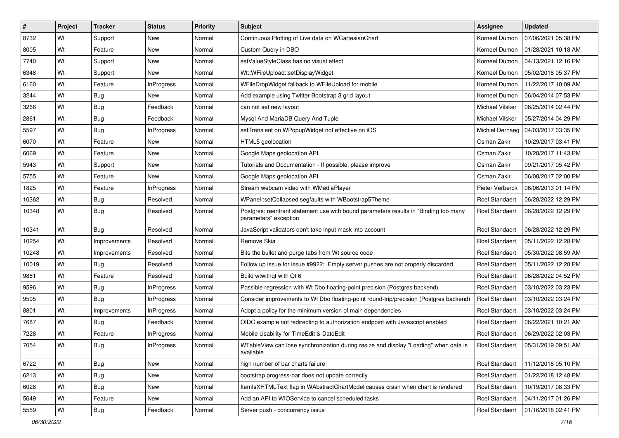| #     | Project | <b>Tracker</b> | <b>Status</b>     | <b>Priority</b> | <b>Subject</b>                                                                                                | <b>Assignee</b>        | <b>Updated</b>      |
|-------|---------|----------------|-------------------|-----------------|---------------------------------------------------------------------------------------------------------------|------------------------|---------------------|
| 8732  | Wt      | Support        | New               | Normal          | Continuous Plotting of Live data on WCartesianChart                                                           | Korneel Dumon          | 07/06/2021 05:38 PM |
| 8005  | Wt      | Feature        | New               | Normal          | Custom Query in DBO                                                                                           | Korneel Dumon          | 01/28/2021 10:18 AM |
| 7740  | Wt      | Support        | New               | Normal          | setValueStyleClass has no visual effect                                                                       | Korneel Dumon          | 04/13/2021 12:16 PM |
| 6348  | Wt      | Support        | New               | Normal          | Wt::WFileUpload::setDisplayWidget                                                                             | Korneel Dumon          | 05/02/2018 05:37 PM |
| 6160  | Wt      | Feature        | <b>InProgress</b> | Normal          | WFileDropWidget fallback to WFileUpload for mobile                                                            | Korneel Dumon          | 11/22/2017 10:09 AM |
| 3244  | Wt      | Bug            | New               | Normal          | Add example using Twitter Bootstrap 3 grid layout                                                             | Korneel Dumon          | 06/04/2014 07:53 PM |
| 3266  | Wt      | <b>Bug</b>     | Feedback          | Normal          | can not set new layout                                                                                        | Michael Vilsker        | 06/25/2014 02:44 PM |
| 2861  | Wt      | Bug            | Feedback          | Normal          | Mysgl And MariaDB Query And Tuple                                                                             | <b>Michael Vilsker</b> | 05/27/2014 04:29 PM |
| 5597  | Wt      | Bug            | <b>InProgress</b> | Normal          | setTransient on WPopupWidget not effective on iOS                                                             | Michiel Derhaeg        | 04/03/2017 03:35 PM |
| 6070  | Wt      | Feature        | <b>New</b>        | Normal          | HTML5 geolocation                                                                                             | Osman Zakir            | 10/29/2017 03:41 PM |
| 6069  | Wt      | Feature        | New               | Normal          | Google Maps geolocation API                                                                                   | Osman Zakir            | 10/28/2017 11:43 PM |
| 5943  | Wt      | Support        | <b>New</b>        | Normal          | Tutorials and Documentation - If possible, please improve                                                     | Osman Zakir            | 09/21/2017 05:42 PM |
| 5755  | Wt      | Feature        | <b>New</b>        | Normal          | Google Maps geolocation API                                                                                   | Osman Zakir            | 06/08/2017 02:00 PM |
| 1825  | Wt      | Feature        | <b>InProgress</b> | Normal          | Stream webcam video with WMediaPlayer                                                                         | Pieter Verberck        | 06/06/2013 01:14 PM |
| 10362 | Wt      | Bug            | Resolved          | Normal          | WPanel::setCollapsed segfaults with WBootstrap5Theme                                                          | Roel Standaert         | 06/28/2022 12:29 PM |
| 10348 | Wt      | Bug            | Resolved          | Normal          | Postgres: reentrant statement use with bound parameters results in "Binding too many<br>parameters" exception | Roel Standaert         | 06/28/2022 12:29 PM |
| 10341 | Wt      | Bug            | Resolved          | Normal          | JavaScript validators don't take input mask into account                                                      | Roel Standaert         | 06/28/2022 12:29 PM |
| 10254 | Wt      | Improvements   | Resolved          | Normal          | Remove Skia                                                                                                   | <b>Roel Standaert</b>  | 05/11/2022 12:28 PM |
| 10248 | Wt      | Improvements   | Resolved          | Normal          | Bite the bullet and purge tabs from Wt source code                                                            | Roel Standaert         | 05/30/2022 08:59 AM |
| 10019 | Wt      | Bug            | Resolved          | Normal          | Follow up issue for issue #9922: Empty server pushes are not properly discarded                               | Roel Standaert         | 05/11/2022 12:28 PM |
| 9861  | Wt      | Feature        | Resolved          | Normal          | Build wtwithgt with Qt 6                                                                                      | Roel Standaert         | 06/28/2022 04:52 PM |
| 9596  | Wt      | Bug            | <b>InProgress</b> | Normal          | Possible regression with Wt Dbo floating-point precision (Postgres backend)                                   | Roel Standaert         | 03/10/2022 03:23 PM |
| 9595  | Wt      | Bug            | <b>InProgress</b> | Normal          | Consider improvements to Wt Dbo floating-point round-trip/precision (Postgres backend)                        | Roel Standaert         | 03/10/2022 03:24 PM |
| 8801  | Wt      | Improvements   | <b>InProgress</b> | Normal          | Adopt a policy for the minimum version of main dependencies                                                   | Roel Standaert         | 03/10/2022 03:24 PM |
| 7687  | Wt      | <b>Bug</b>     | Feedback          | Normal          | OIDC example not redirecting to authorization endpoint with Javascript enabled                                | Roel Standaert         | 06/22/2021 10:21 AM |
| 7228  | Wt      | Feature        | <b>InProgress</b> | Normal          | Mobile Usability for TimeEdit & DateEdit                                                                      | Roel Standaert         | 06/29/2022 02:03 PM |
| 7054  | Wt      | Bug            | <b>InProgress</b> | Normal          | WTableView can lose synchronization during resize and display "Loading" when data is<br>available             | Roel Standaert         | 05/31/2019 09:51 AM |
| 6722  | Wt      | <b>Bug</b>     | New               | Normal          | high number of bar charts failure                                                                             | Roel Standaert         | 11/12/2018 05:10 PM |
| 6213  | Wt      | Bug            | New               | Normal          | bootstrap progress-bar does not update correctly                                                              | Roel Standaert         | 01/22/2018 12:48 PM |
| 6028  | Wt      | Bug            | New               | Normal          | ItemIsXHTMLText flag in WAbstractChartModel causes crash when chart is rendered                               | Roel Standaert         | 10/19/2017 08:33 PM |
| 5649  | Wt      | Feature        | New               | Normal          | Add an API to WIOService to cancel scheduled tasks                                                            | Roel Standaert         | 04/11/2017 01:26 PM |
| 5559  | Wt      | <b>Bug</b>     | Feedback          | Normal          | Server push - concurrency issue                                                                               | Roel Standaert         | 01/16/2018 02:41 PM |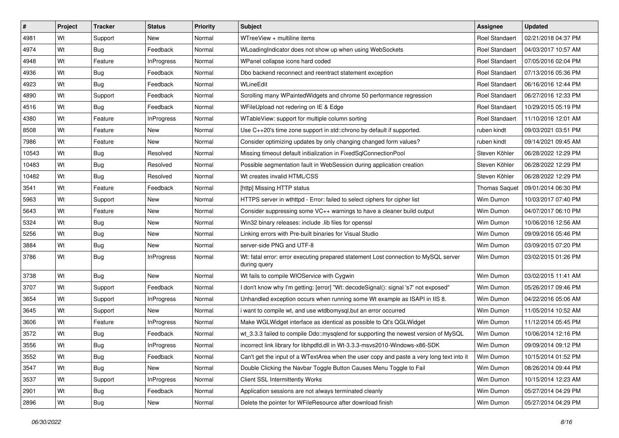| $\pmb{\sharp}$ | Project | <b>Tracker</b> | <b>Status</b>     | <b>Priority</b> | <b>Subject</b>                                                                                      | <b>Assignee</b>       | <b>Updated</b>      |
|----------------|---------|----------------|-------------------|-----------------|-----------------------------------------------------------------------------------------------------|-----------------------|---------------------|
| 4981           | Wt      | Support        | New               | Normal          | WTreeView + multiline items                                                                         | <b>Roel Standaert</b> | 02/21/2018 04:37 PM |
| 4974           | Wt      | <b>Bug</b>     | Feedback          | Normal          | WLoadingIndicator does not show up when using WebSockets                                            | Roel Standaert        | 04/03/2017 10:57 AM |
| 4948           | Wt      | Feature        | <b>InProgress</b> | Normal          | WPanel collapse icons hard coded                                                                    | Roel Standaert        | 07/05/2016 02:04 PM |
| 4936           | Wt      | Bug            | Feedback          | Normal          | Dbo backend reconnect and reentract statement exception                                             | Roel Standaert        | 07/13/2016 05:36 PM |
| 4923           | Wt      | Bug            | Feedback          | Normal          | WLineEdit                                                                                           | Roel Standaert        | 06/16/2016 12:44 PM |
| 4890           | Wt      | Support        | Feedback          | Normal          | Scrolling many WPaintedWidgets and chrome 50 performance regression                                 | Roel Standaert        | 06/27/2016 12:33 PM |
| 4516           | Wt      | <b>Bug</b>     | Feedback          | Normal          | WFileUpload not redering on IE & Edge                                                               | Roel Standaert        | 10/29/2015 05:19 PM |
| 4380           | Wt      | Feature        | <b>InProgress</b> | Normal          | WTableView: support for multiple column sorting                                                     | Roel Standaert        | 11/10/2016 12:01 AM |
| 8508           | Wt      | Feature        | New               | Normal          | Use C++20's time zone support in std::chrono by default if supported.                               | ruben kindt           | 09/03/2021 03:51 PM |
| 7986           | Wt      | Feature        | New               | Normal          | Consider optimizing updates by only changing changed form values?                                   | ruben kindt           | 09/14/2021 09:45 AM |
| 10543          | Wt      | <b>Bug</b>     | Resolved          | Normal          | Missing timeout default initialization in FixedSqlConnectionPool                                    | Steven Köhler         | 06/28/2022 12:29 PM |
| 10483          | Wt      | Bug            | Resolved          | Normal          | Possible segmentation fault in WebSession during application creation                               | Steven Köhler         | 06/28/2022 12:29 PM |
| 10482          | Wt      | Bug            | Resolved          | Normal          | Wt creates invalid HTML/CSS                                                                         | Steven Köhler         | 06/28/2022 12:29 PM |
| 3541           | Wt      | Feature        | Feedback          | Normal          | [http] Missing HTTP status                                                                          | <b>Thomas Saquet</b>  | 09/01/2014 06:30 PM |
| 5963           | Wt      | Support        | <b>New</b>        | Normal          | HTTPS server in wthttpd - Error: failed to select ciphers for cipher list                           | Wim Dumon             | 10/03/2017 07:40 PM |
| 5643           | Wt      | Feature        | New               | Normal          | Consider suppressing some VC++ warnings to have a cleaner build output                              | Wim Dumon             | 04/07/2017 06:10 PM |
| 5324           | Wt      | Bug            | New               | Normal          | Win32 binary releases: include .lib files for openssl                                               | Wim Dumon             | 10/06/2016 12:56 AM |
| 5256           | Wt      | Bug            | New               | Normal          | Linking errors with Pre-built binaries for Visual Studio                                            | Wim Dumon             | 09/09/2016 05:46 PM |
| 3884           | Wt      | <b>Bug</b>     | New               | Normal          | server-side PNG and UTF-8                                                                           | Wim Dumon             | 03/09/2015 07:20 PM |
| 3786           | Wt      | Bug            | <b>InProgress</b> | Normal          | Wt: fatal error: error executing prepared statement Lost connection to MySQL server<br>during query | Wim Dumon             | 03/02/2015 01:26 PM |
| 3738           | Wt      | Bug            | New               | Normal          | Wt fails to compile WIOService with Cygwin                                                          | Wim Dumon             | 03/02/2015 11:41 AM |
| 3707           | Wt      | Support        | Feedback          | Normal          | I don't know why I'm getting: [error] "Wt: decodeSignal(): signal 's7' not exposed"                 | Wim Dumon             | 05/26/2017 09:46 PM |
| 3654           | Wt      | Support        | <b>InProgress</b> | Normal          | Unhandled exception occurs when running some Wt example as ISAPI in IIS 8.                          | Wim Dumon             | 04/22/2016 05:06 AM |
| 3645           | Wt      | Support        | New               | Normal          | i want to compile wt, and use wtdbomysql, but an error occurred                                     | Wim Dumon             | 11/05/2014 10:52 AM |
| 3606           | Wt      | Feature        | <b>InProgress</b> | Normal          | Make WGLWidget interface as identical as possible to Qt's QGLWidget                                 | Wim Dumon             | 11/12/2014 05:45 PM |
| 3572           | Wt      | <b>Bug</b>     | Feedback          | Normal          | wt 3.3.3 failed to compile Ddo::mysqlend for supporting the newest version of MySQL                 | Wim Dumon             | 10/06/2014 12:16 PM |
| 3556           | Wt      | Bug            | InProgress        | Normal          | incorrect link library for libhpdfd.dll in Wt-3.3.3-msvs2010-Windows-x86-SDK                        | Wim Dumon             | 09/09/2014 09:12 PM |
| 3552           | Wt      | <b>Bug</b>     | Feedback          | Normal          | Can't get the input of a WTextArea when the user copy and paste a very long text into it            | Wim Dumon             | 10/15/2014 01:52 PM |
| 3547           | Wt      | <b>Bug</b>     | New               | Normal          | Double Clicking the Navbar Toggle Button Causes Menu Toggle to Fail                                 | Wim Dumon             | 08/26/2014 09:44 PM |
| 3537           | Wt      | Support        | <b>InProgress</b> | Normal          | Client SSL Intermittently Works                                                                     | Wim Dumon             | 10/15/2014 12:23 AM |
| 2901           | Wt      | <b>Bug</b>     | Feedback          | Normal          | Application sessions are not always terminated cleanly                                              | Wim Dumon             | 05/27/2014 04:29 PM |
| 2896           | Wt      | <b>Bug</b>     | New               | Normal          | Delete the pointer for WFileResource after download finish                                          | Wim Dumon             | 05/27/2014 04:29 PM |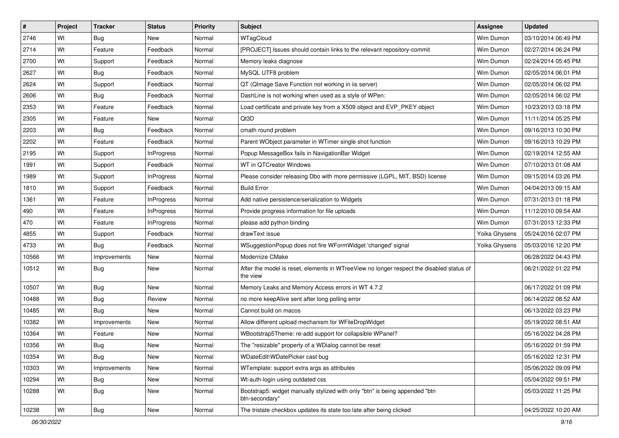| #     | Project | <b>Tracker</b> | <b>Status</b>     | <b>Priority</b> | Subject                                                                                              | <b>Assignee</b> | <b>Updated</b>      |
|-------|---------|----------------|-------------------|-----------------|------------------------------------------------------------------------------------------------------|-----------------|---------------------|
| 2746  | Wt      | <b>Bug</b>     | New               | Normal          | WTagCloud                                                                                            | Wim Dumon       | 03/10/2014 06:49 PM |
| 2714  | Wt      | Feature        | Feedback          | Normal          | [PROJECT] Issues should contain links to the relevant repository-commit                              | Wim Dumon       | 02/27/2014 06:24 PM |
| 2700  | Wt      | Support        | Feedback          | Normal          | Memory leaks diagnose                                                                                | Wim Dumon       | 02/24/2014 05:45 PM |
| 2627  | Wt      | <b>Bug</b>     | Feedback          | Normal          | MySQL UTF8 problem                                                                                   | Wim Dumon       | 02/05/2014 06:01 PM |
| 2624  | Wt      | Support        | Feedback          | Normal          | QT (QImage Save Function not working in iis server)                                                  | Wim Dumon       | 02/05/2014 06:02 PM |
| 2606  | Wt      | <b>Bug</b>     | Feedback          | Normal          | DashLine is not working when used as a style of WPen:                                                | Wim Dumon       | 02/05/2014 06:02 PM |
| 2353  | Wt      | Feature        | Feedback          | Normal          | Load certificate and private key from a X509 object and EVP_PKEY object                              | Wim Dumon       | 10/23/2013 03:18 PM |
| 2305  | Wt      | Feature        | <b>New</b>        | Normal          | Qt3D                                                                                                 | Wim Dumon       | 11/11/2014 05:25 PM |
| 2203  | Wt      | Bug            | Feedback          | Normal          | cmath round problem                                                                                  | Wim Dumon       | 09/16/2013 10:30 PM |
| 2202  | Wt      | Feature        | Feedback          | Normal          | Parent WObject parameter in WTimer single shot function                                              | Wim Dumon       | 09/16/2013 10:29 PM |
| 2195  | Wt      | Support        | InProgress        | Normal          | Popup MessageBox fails in NavigationBar Widget                                                       | Wim Dumon       | 02/19/2014 12:55 AM |
| 1991  | Wt      | Support        | Feedback          | Normal          | WT in QTCreator Windows                                                                              | Wim Dumon       | 07/10/2013 01:08 AM |
| 1989  | Wt      | Support        | <b>InProgress</b> | Normal          | Please consider releasing Dbo with more permissive (LGPL, MIT, BSD) license                          | Wim Dumon       | 09/15/2014 03:26 PM |
| 1810  | Wt      | Support        | Feedback          | Normal          | <b>Build Error</b>                                                                                   | Wim Dumon       | 04/04/2013 09:15 AM |
| 1361  | Wt      | Feature        | InProgress        | Normal          | Add native persistence/serialization to Widgets                                                      | Wim Dumon       | 07/31/2013 01:18 PM |
| 490   | Wt      | Feature        | <b>InProgress</b> | Normal          | Provide progress information for file uploads                                                        | Wim Dumon       | 11/12/2010 09:54 AM |
| 470   | Wt      | Feature        | <b>InProgress</b> | Normal          | please add python binding                                                                            | Wim Dumon       | 07/31/2013 12:33 PM |
| 4855  | Wt      | Support        | Feedback          | Normal          | drawText issue                                                                                       | Yoika Ghysens   | 05/24/2016 02:07 PM |
| 4733  | Wt      | <b>Bug</b>     | Feedback          | Normal          | WSuggestionPopup does not fire WFormWidget 'changed' signal                                          | Yoika Ghysens   | 05/03/2016 12:20 PM |
| 10566 | Wt      | Improvements   | New               | Normal          | Modernize CMake                                                                                      |                 | 06/28/2022 04:43 PM |
| 10512 | Wt      | <b>Bug</b>     | <b>New</b>        | Normal          | After the model is reset, elements in WTreeView no longer respect the disabled status of<br>the view |                 | 06/21/2022 01:22 PM |
| 10507 | Wt      | <b>Bug</b>     | New               | Normal          | Memory Leaks and Memory Access errors in WT 4.7.2                                                    |                 | 06/17/2022 01:09 PM |
| 10488 | Wt      | <b>Bug</b>     | Review            | Normal          | no more keepAlive sent after long polling error                                                      |                 | 06/14/2022 08:52 AM |
| 10485 | Wt      | <b>Bug</b>     | New               | Normal          | Cannot build on macos                                                                                |                 | 06/13/2022 03:23 PM |
| 10382 | Wt      | Improvements   | New               | Normal          | Allow different upload mechanism for WFileDropWidget                                                 |                 | 05/19/2022 08:51 AM |
| 10364 | Wt      | Feature        | New               | Normal          | WBootstrap5Theme: re-add support for collapsible WPanel?                                             |                 | 05/16/2022 04:28 PM |
| 10356 | Wt      | Bug            | New               | Normal          | The "resizable" property of a WDialog cannot be reset                                                |                 | 05/16/2022 01:59 PM |
| 10354 | Wt      | <b>Bug</b>     | New               | Normal          | WDateEdit\WDatePicker cast bug                                                                       |                 | 05/16/2022 12:31 PM |
| 10303 | Wt      | Improvements   | New               | Normal          | WTemplate: support extra args as attributes                                                          |                 | 05/06/2022 09:09 PM |
| 10294 | Wt      | <b>Bug</b>     | New               | Normal          | Wt-auth-login using outdated css                                                                     |                 | 05/04/2022 09:51 PM |
| 10288 | Wt      | <b>Bug</b>     | New               | Normal          | Bootstrap5: widget manually stylized with only "btn" is being appended "btn<br>btn-secondary"        |                 | 05/03/2022 11:25 PM |
| 10238 | Wt      | Bug            | New               | Normal          | The tristate checkbox updates its state too late after being clicked                                 |                 | 04/25/2022 10:20 AM |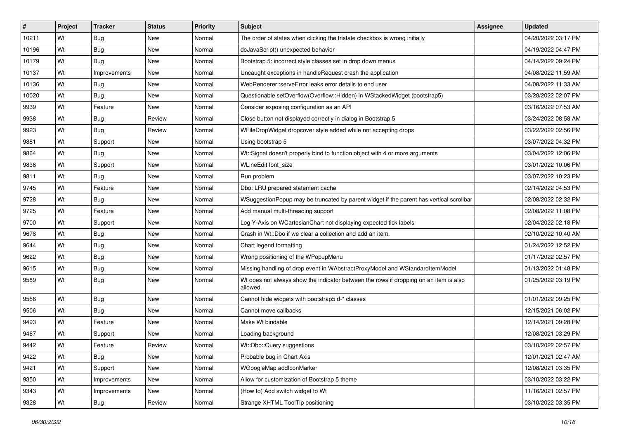| #     | Project | <b>Tracker</b> | <b>Status</b> | Priority | Subject                                                                                           | <b>Assignee</b> | <b>Updated</b>      |
|-------|---------|----------------|---------------|----------|---------------------------------------------------------------------------------------------------|-----------------|---------------------|
| 10211 | Wt      | <b>Bug</b>     | New           | Normal   | The order of states when clicking the tristate checkbox is wrong initially                        |                 | 04/20/2022 03:17 PM |
| 10196 | Wt      | Bug            | New           | Normal   | doJavaScript() unexpected behavior                                                                |                 | 04/19/2022 04:47 PM |
| 10179 | Wt      | Bug            | New           | Normal   | Bootstrap 5: incorrect style classes set in drop down menus                                       |                 | 04/14/2022 09:24 PM |
| 10137 | Wt      | Improvements   | New           | Normal   | Uncaught exceptions in handleRequest crash the application                                        |                 | 04/08/2022 11:59 AM |
| 10136 | Wt      | Bug            | New           | Normal   | WebRenderer::serveError leaks error details to end user                                           |                 | 04/08/2022 11:33 AM |
| 10020 | Wt      | Bug            | New           | Normal   | Questionable setOverflow(Overflow::Hidden) in WStackedWidget (bootstrap5)                         |                 | 03/28/2022 02:07 PM |
| 9939  | Wt      | Feature        | New           | Normal   | Consider exposing configuration as an API                                                         |                 | 03/16/2022 07:53 AM |
| 9938  | Wt      | <b>Bug</b>     | Review        | Normal   | Close button not displayed correctly in dialog in Bootstrap 5                                     |                 | 03/24/2022 08:58 AM |
| 9923  | Wt      | Bug            | Review        | Normal   | WFileDropWidget dropcover style added while not accepting drops                                   |                 | 03/22/2022 02:56 PM |
| 9881  | Wt      | Support        | New           | Normal   | Using bootstrap 5                                                                                 |                 | 03/07/2022 04:32 PM |
| 9864  | Wt      | Bug            | New           | Normal   | Wt::Signal doesn't properly bind to function object with 4 or more arguments                      |                 | 03/04/2022 12:06 PM |
| 9836  | Wt      | Support        | New           | Normal   | WLineEdit font size                                                                               |                 | 03/01/2022 10:06 PM |
| 9811  | Wt      | Bug            | New           | Normal   | Run problem                                                                                       |                 | 03/07/2022 10:23 PM |
| 9745  | Wt      | Feature        | New           | Normal   | Dbo: LRU prepared statement cache                                                                 |                 | 02/14/2022 04:53 PM |
| 9728  | Wt      | <b>Bug</b>     | <b>New</b>    | Normal   | WSuggestionPopup may be truncated by parent widget if the parent has vertical scrollbar           |                 | 02/08/2022 02:32 PM |
| 9725  | Wt      | Feature        | New           | Normal   | Add manual multi-threading support                                                                |                 | 02/08/2022 11:08 PM |
| 9700  | Wt      | Support        | <b>New</b>    | Normal   | Log Y-Axis on WCartesianChart not displaying expected tick labels                                 |                 | 02/04/2022 02:18 PM |
| 9678  | Wt      | Bug            | New           | Normal   | Crash in Wt::Dbo if we clear a collection and add an item.                                        |                 | 02/10/2022 10:40 AM |
| 9644  | Wt      | Bug            | New           | Normal   | Chart legend formatting                                                                           |                 | 01/24/2022 12:52 PM |
| 9622  | Wt      | Bug            | New           | Normal   | Wrong positioning of the WPopupMenu                                                               |                 | 01/17/2022 02:57 PM |
| 9615  | Wt      | <b>Bug</b>     | New           | Normal   | Missing handling of drop event in WAbstractProxyModel and WStandardItemModel                      |                 | 01/13/2022 01:48 PM |
| 9589  | Wt      | <b>Bug</b>     | New           | Normal   | Wt does not always show the indicator between the rows if dropping on an item is also<br>allowed. |                 | 01/25/2022 03:19 PM |
| 9556  | Wt      | Bug            | New           | Normal   | Cannot hide widgets with bootstrap5 d-* classes                                                   |                 | 01/01/2022 09:25 PM |
| 9506  | Wt      | Bug            | New           | Normal   | Cannot move callbacks                                                                             |                 | 12/15/2021 06:02 PM |
| 9493  | Wt      | Feature        | New           | Normal   | Make Wt bindable                                                                                  |                 | 12/14/2021 09:28 PM |
| 9467  | Wt      | Support        | New           | Normal   | Loading background                                                                                |                 | 12/08/2021 03:29 PM |
| 9442  | Wt      | Feature        | Review        | Normal   | Wt::Dbo::Query suggestions                                                                        |                 | 03/10/2022 02:57 PM |
| 9422  | Wt      | <b>Bug</b>     | New           | Normal   | Probable bug in Chart Axis                                                                        |                 | 12/01/2021 02:47 AM |
| 9421  | Wt      | Support        | New           | Normal   | WGoogleMap addlconMarker                                                                          |                 | 12/08/2021 03:35 PM |
| 9350  | Wt      | Improvements   | New           | Normal   | Allow for customization of Bootstrap 5 theme                                                      |                 | 03/10/2022 03:22 PM |
| 9343  | Wt      | Improvements   | New           | Normal   | (How to) Add switch widget to Wt                                                                  |                 | 11/16/2021 02:57 PM |
| 9328  | Wt      | <b>Bug</b>     | Review        | Normal   | Strange XHTML ToolTip positioning                                                                 |                 | 03/10/2022 03:35 PM |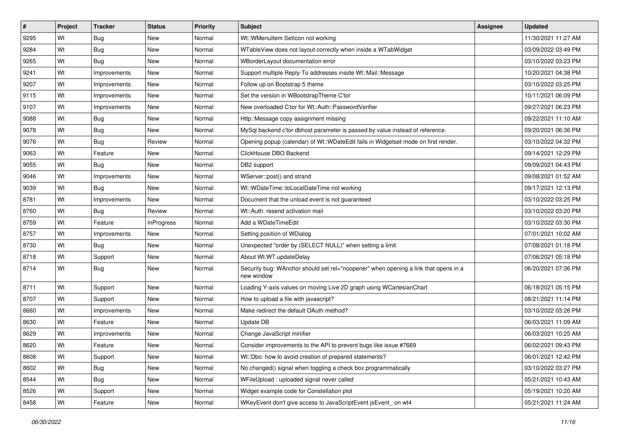| #    | Project | <b>Tracker</b> | <b>Status</b>     | <b>Priority</b> | <b>Subject</b>                                                                                    | <b>Assignee</b> | <b>Updated</b>      |
|------|---------|----------------|-------------------|-----------------|---------------------------------------------------------------------------------------------------|-----------------|---------------------|
| 9295 | Wt      | <b>Bug</b>     | New               | Normal          | Wt::WMenuItem SetIcon not working                                                                 |                 | 11/30/2021 11:27 AM |
| 9284 | Wt      | <b>Bug</b>     | New               | Normal          | WTableView does not layout correctly when inside a WTabWidget                                     |                 | 03/09/2022 03:49 PM |
| 9265 | Wt      | Bug            | New               | Normal          | WBorderLayout documentation error                                                                 |                 | 03/10/2022 03:23 PM |
| 9241 | Wt      | Improvements   | New               | Normal          | Support multiple Reply-To addresses inside Wt::Mail::Message                                      |                 | 10/20/2021 04:38 PM |
| 9207 | Wt      | Improvements   | <b>New</b>        | Normal          | Follow up on Bootstrap 5 theme                                                                    |                 | 03/10/2022 03:25 PM |
| 9115 | Wt      | Improvements   | New               | Normal          | Set the version in WBootstrapTheme C'tor                                                          |                 | 10/11/2021 06:09 PM |
| 9107 | Wt      | Improvements   | New               | Normal          | New overloaded C'tor for Wt::Auth::PasswordVerifier                                               |                 | 09/27/2021 06:23 PM |
| 9088 | Wt      | <b>Bug</b>     | New               | Normal          | Http::Message copy assignment missing                                                             |                 | 09/22/2021 11:10 AM |
| 9078 | Wt      | Bug            | New               | Normal          | MySql backend c'tor dbhost parameter is passed by value instead of reference.                     |                 | 09/20/2021 06:36 PM |
| 9076 | Wt      | Bug            | Review            | Normal          | Opening popup (calendar) of Wt::WDateEdit fails in Widgetset mode on first render.                |                 | 03/10/2022 04:32 PM |
| 9063 | Wt      | Feature        | New               | Normal          | ClickHouse DBO Backend                                                                            |                 | 09/14/2021 12:29 PM |
| 9055 | Wt      | Bug            | New               | Normal          | DB2 support                                                                                       |                 | 09/09/2021 04:43 PM |
| 9046 | Wt      | Improvements   | <b>New</b>        | Normal          | WServer::post() and strand                                                                        |                 | 09/08/2021 01:52 AM |
| 9039 | Wt      | Bug            | New               | Normal          | Wt::WDateTime::toLocalDateTime not working                                                        |                 | 09/17/2021 12:13 PM |
| 8781 | Wt      | Improvements   | <b>New</b>        | Normal          | Document that the unload event is not guaranteed                                                  |                 | 03/10/2022 03:25 PM |
| 8760 | Wt      | Bug            | Review            | Normal          | Wt::Auth: resend activation mail                                                                  |                 | 03/10/2022 03:20 PM |
| 8759 | Wt      | Feature        | <b>InProgress</b> | Normal          | Add a WDateTimeEdit                                                                               |                 | 03/10/2022 03:30 PM |
| 8757 | Wt      | Improvements   | <b>New</b>        | Normal          | Setting position of WDialog                                                                       |                 | 07/01/2021 10:02 AM |
| 8730 | Wt      | Bug            | New               | Normal          | Unexpected "order by (SELECT NULL)" when setting a limit                                          |                 | 07/08/2021 01:18 PM |
| 8718 | Wt      | Support        | <b>New</b>        | Normal          | About Wt.WT.updateDelay                                                                           |                 | 07/06/2021 05:18 PM |
| 8714 | Wt      | Bug            | New               | Normal          | Security bug: WAnchor should set rel="noopener" when opening a link that opens in a<br>new window |                 | 06/20/2021 07:36 PM |
| 8711 | Wt      | Support        | <b>New</b>        | Normal          | Loading Y-axis values on moving Live 2D graph using WCartesianChart                               |                 | 06/18/2021 05:15 PM |
| 8707 | Wt      | Support        | New               | Normal          | How to upload a file with javascript?                                                             |                 | 08/21/2021 11:14 PM |
| 8660 | Wt      | Improvements   | New               | Normal          | Make redirect the default OAuth method?                                                           |                 | 03/10/2022 03:26 PM |
| 8630 | Wt      | Feature        | <b>New</b>        | Normal          | Update DB                                                                                         |                 | 06/03/2021 11:09 AM |
| 8629 | Wt      | Improvements   | New               | Normal          | Change JavaScript minifier                                                                        |                 | 06/03/2021 10:25 AM |
| 8620 | Wt      | Feature        | New               | Normal          | Consider improvements to the API to prevent bugs like issue #7669                                 |                 | 06/02/2021 09:43 PM |
| 8608 | Wt      | Support        | New               | Normal          | Wt::Dbo: how to avoid creation of prepared statements?                                            |                 | 06/01/2021 12:42 PM |
| 8602 | Wt      | <b>Bug</b>     | New               | Normal          | No changed() signal when toggling a check box programmatically                                    |                 | 03/10/2022 03:27 PM |
| 8544 | Wt      | <b>Bug</b>     | New               | Normal          | WFileUpload : uploaded signal never called                                                        |                 | 05/21/2021 10:43 AM |
| 8526 | Wt      | Support        | New               | Normal          | Widget example code for Constellation plot                                                        |                 | 05/19/2021 10:20 AM |
| 8458 | Wt      | Feature        | New               | Normal          | WKeyEvent don't give access to JavaScriptEvent jsEvent_on wt4                                     |                 | 05/21/2021 11:24 AM |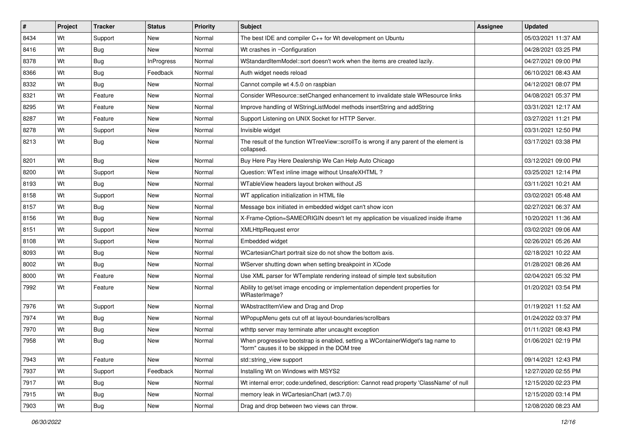| $\vert$ # | Project | <b>Tracker</b> | <b>Status</b>     | <b>Priority</b> | <b>Subject</b>                                                                                                                    | <b>Assignee</b> | <b>Updated</b>      |
|-----------|---------|----------------|-------------------|-----------------|-----------------------------------------------------------------------------------------------------------------------------------|-----------------|---------------------|
| 8434      | Wt      | Support        | New               | Normal          | The best IDE and compiler $C_{++}$ for Wt development on Ubuntu                                                                   |                 | 05/03/2021 11:37 AM |
| 8416      | Wt      | Bug            | New               | Normal          | Wt crashes in ~Configuration                                                                                                      |                 | 04/28/2021 03:25 PM |
| 8378      | Wt      | <b>Bug</b>     | <b>InProgress</b> | Normal          | WStandardItemModel::sort doesn't work when the items are created lazily.                                                          |                 | 04/27/2021 09:00 PM |
| 8366      | Wt      | Bug            | Feedback          | Normal          | Auth widget needs reload                                                                                                          |                 | 06/10/2021 08:43 AM |
| 8332      | Wt      | Bug            | New               | Normal          | Cannot compile wt 4.5.0 on raspbian                                                                                               |                 | 04/12/2021 08:07 PM |
| 8321      | Wt      | Feature        | <b>New</b>        | Normal          | Consider WResource::setChanged enhancement to invalidate stale WResource links                                                    |                 | 04/08/2021 05:37 PM |
| 8295      | Wt      | Feature        | New               | Normal          | Improve handling of WStringListModel methods insertString and addString                                                           |                 | 03/31/2021 12:17 AM |
| 8287      | Wt      | Feature        | <b>New</b>        | Normal          | Support Listening on UNIX Socket for HTTP Server.                                                                                 |                 | 03/27/2021 11:21 PM |
| 8278      | Wt      | Support        | New               | Normal          | Invisible widget                                                                                                                  |                 | 03/31/2021 12:50 PM |
| 8213      | Wt      | Bug            | New               | Normal          | The result of the function WTreeView::scrollTo is wrong if any parent of the element is<br>collapsed.                             |                 | 03/17/2021 03:38 PM |
| 8201      | Wt      | Bug            | <b>New</b>        | Normal          | Buy Here Pay Here Dealership We Can Help Auto Chicago                                                                             |                 | 03/12/2021 09:00 PM |
| 8200      | Wt      | Support        | New               | Normal          | Question: WText inline image without UnsafeXHTML?                                                                                 |                 | 03/25/2021 12:14 PM |
| 8193      | Wt      | Bug            | New               | Normal          | WTableView headers layout broken without JS                                                                                       |                 | 03/11/2021 10:21 AM |
| 8158      | Wt      | Support        | <b>New</b>        | Normal          | WT application initialization in HTML file                                                                                        |                 | 03/02/2021 05:48 AM |
| 8157      | Wt      | Bug            | New               | Normal          | Message box initiated in embedded widget can't show icon                                                                          |                 | 02/27/2021 06:37 AM |
| 8156      | Wt      | Bug            | <b>New</b>        | Normal          | X-Frame-Option=SAMEORIGIN doesn't let my application be visualized inside iframe                                                  |                 | 10/20/2021 11:36 AM |
| 8151      | Wt      | Support        | New               | Normal          | <b>XMLHttpRequest error</b>                                                                                                       |                 | 03/02/2021 09:06 AM |
| 8108      | Wt      | Support        | <b>New</b>        | Normal          | Embedded widget                                                                                                                   |                 | 02/26/2021 05:26 AM |
| 8093      | Wt      | Bug            | New               | Normal          | WCartesianChart portrait size do not show the bottom axis.                                                                        |                 | 02/18/2021 10:22 AM |
| 8002      | Wt      | Bug            | <b>New</b>        | Normal          | WServer shutting down when setting breakpoint in XCode                                                                            |                 | 01/28/2021 08:26 AM |
| 8000      | Wt      | Feature        | New               | Normal          | Use XML parser for WTemplate rendering instead of simple text subsitution                                                         |                 | 02/04/2021 05:32 PM |
| 7992      | Wt      | Feature        | <b>New</b>        | Normal          | Ability to get/set image encoding or implementation dependent properties for<br>WRasterImage?                                     |                 | 01/20/2021 03:54 PM |
| 7976      | Wt      | Support        | <b>New</b>        | Normal          | WAbstractItemView and Drag and Drop                                                                                               |                 | 01/19/2021 11:52 AM |
| 7974      | Wt      | Bug            | New               | Normal          | WPopupMenu gets cut off at layout-boundaries/scrollbars                                                                           |                 | 01/24/2022 03:37 PM |
| 7970      | Wt      | <b>Bug</b>     | New               | Normal          | wthttp server may terminate after uncaught exception                                                                              |                 | 01/11/2021 08:43 PM |
| 7958      | Wt      | Bug            | <b>New</b>        | Normal          | When progressive bootstrap is enabled, setting a WContainerWidget's tag name to<br>"form" causes it to be skipped in the DOM tree |                 | 01/06/2021 02:19 PM |
| 7943      | Wt      | Feature        | New               | Normal          | std::string view support                                                                                                          |                 | 09/14/2021 12:43 PM |
| 7937      | Wt      | Support        | Feedback          | Normal          | Installing Wt on Windows with MSYS2                                                                                               |                 | 12/27/2020 02:55 PM |
| 7917      | Wt      | <b>Bug</b>     | New               | Normal          | Wt internal error; code:undefined, description: Cannot read property 'ClassName' of null                                          |                 | 12/15/2020 02:23 PM |
| 7915      | Wt      | <b>Bug</b>     | New               | Normal          | memory leak in WCartesianChart (wt3.7.0)                                                                                          |                 | 12/15/2020 03:14 PM |
| 7903      | Wt      | Bug            | New               | Normal          | Drag and drop between two views can throw.                                                                                        |                 | 12/08/2020 08:23 AM |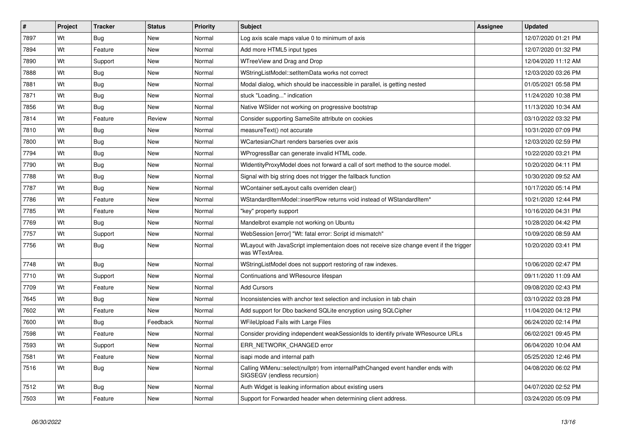| $\vert$ # | Project | <b>Tracker</b> | <b>Status</b> | <b>Priority</b> | <b>Subject</b>                                                                                                 | <b>Assignee</b> | <b>Updated</b>      |
|-----------|---------|----------------|---------------|-----------------|----------------------------------------------------------------------------------------------------------------|-----------------|---------------------|
| 7897      | Wt      | Bug            | <b>New</b>    | Normal          | Log axis scale maps value 0 to minimum of axis                                                                 |                 | 12/07/2020 01:21 PM |
| 7894      | Wt      | Feature        | New           | Normal          | Add more HTML5 input types                                                                                     |                 | 12/07/2020 01:32 PM |
| 7890      | Wt      | Support        | New           | Normal          | WTreeView and Drag and Drop                                                                                    |                 | 12/04/2020 11:12 AM |
| 7888      | Wt      | <b>Bug</b>     | <b>New</b>    | Normal          | WStringListModel::setItemData works not correct                                                                |                 | 12/03/2020 03:26 PM |
| 7881      | Wt      | Bug            | <b>New</b>    | Normal          | Modal dialog, which should be inaccessible in parallel, is getting nested                                      |                 | 01/05/2021 05:58 PM |
| 7871      | Wt      | <b>Bug</b>     | <b>New</b>    | Normal          | stuck "Loading" indication                                                                                     |                 | 11/24/2020 10:38 PM |
| 7856      | Wt      | Bug            | New           | Normal          | Native WSlider not working on progressive bootstrap                                                            |                 | 11/13/2020 10:34 AM |
| 7814      | Wt      | Feature        | Review        | Normal          | Consider supporting SameSite attribute on cookies                                                              |                 | 03/10/2022 03:32 PM |
| 7810      | Wt      | <b>Bug</b>     | <b>New</b>    | Normal          | measureText() not accurate                                                                                     |                 | 10/31/2020 07:09 PM |
| 7800      | Wt      | <b>Bug</b>     | <b>New</b>    | Normal          | WCartesianChart renders barseries over axis                                                                    |                 | 12/03/2020 02:59 PM |
| 7794      | Wt      | <b>Bug</b>     | New           | Normal          | WProgressBar can generate invalid HTML code.                                                                   |                 | 10/22/2020 03:21 PM |
| 7790      | Wt      | <b>Bug</b>     | New           | Normal          | WidentityProxyModel does not forward a call of sort method to the source model.                                |                 | 10/20/2020 04:11 PM |
| 7788      | Wt      | <b>Bug</b>     | New           | Normal          | Signal with big string does not trigger the fallback function                                                  |                 | 10/30/2020 09:52 AM |
| 7787      | Wt      | Bug            | <b>New</b>    | Normal          | WContainer setLayout calls overriden clear()                                                                   |                 | 10/17/2020 05:14 PM |
| 7786      | Wt      | Feature        | <b>New</b>    | Normal          | WStandardItemModel::insertRow returns void instead of WStandardItem*                                           |                 | 10/21/2020 12:44 PM |
| 7785      | Wt      | Feature        | <b>New</b>    | Normal          | 'key" property support                                                                                         |                 | 10/16/2020 04:31 PM |
| 7769      | Wt      | Bug            | <b>New</b>    | Normal          | Mandelbrot example not working on Ubuntu                                                                       |                 | 10/28/2020 04:42 PM |
| 7757      | Wt      | Support        | <b>New</b>    | Normal          | WebSession [error] "Wt: fatal error: Script id mismatch"                                                       |                 | 10/09/2020 08:59 AM |
| 7756      | Wt      | Bug            | <b>New</b>    | Normal          | WLayout with JavaScript implementaion does not receive size change event if the trigger<br>was WTextArea.      |                 | 10/20/2020 03:41 PM |
| 7748      | Wt      | Bug            | <b>New</b>    | Normal          | WStringListModel does not support restoring of raw indexes.                                                    |                 | 10/06/2020 02:47 PM |
| 7710      | Wt      | Support        | <b>New</b>    | Normal          | Continuations and WResource lifespan                                                                           |                 | 09/11/2020 11:09 AM |
| 7709      | Wt      | Feature        | <b>New</b>    | Normal          | <b>Add Cursors</b>                                                                                             |                 | 09/08/2020 02:43 PM |
| 7645      | Wt      | <b>Bug</b>     | <b>New</b>    | Normal          | Inconsistencies with anchor text selection and inclusion in tab chain                                          |                 | 03/10/2022 03:28 PM |
| 7602      | Wt      | Feature        | <b>New</b>    | Normal          | Add support for Dbo backend SQLite encryption using SQLCipher                                                  |                 | 11/04/2020 04:12 PM |
| 7600      | Wt      | Bug            | Feedback      | Normal          | WFileUpload Fails with Large Files                                                                             |                 | 06/24/2020 02:14 PM |
| 7598      | Wt      | Feature        | <b>New</b>    | Normal          | Consider providing independent weakSessionIds to identify private WResource URLs                               |                 | 06/02/2021 09:45 PM |
| 7593      | Wt      | Support        | New           | Normal          | ERR NETWORK CHANGED error                                                                                      |                 | 06/04/2020 10:04 AM |
| 7581      | Wt      | Feature        | <b>New</b>    | Normal          | isapi mode and internal path                                                                                   |                 | 05/25/2020 12:46 PM |
| 7516      | Wt      | <b>Bug</b>     | New           | Normal          | Calling WMenu::select(nullptr) from internalPathChanged event handler ends with<br>SIGSEGV (endless recursion) |                 | 04/08/2020 06:02 PM |
| 7512      | Wt      | Bug            | <b>New</b>    | Normal          | Auth Widget is leaking information about existing users                                                        |                 | 04/07/2020 02:52 PM |
| 7503      | Wt      | Feature        | <b>New</b>    | Normal          | Support for Forwarded header when determining client address.                                                  |                 | 03/24/2020 05:09 PM |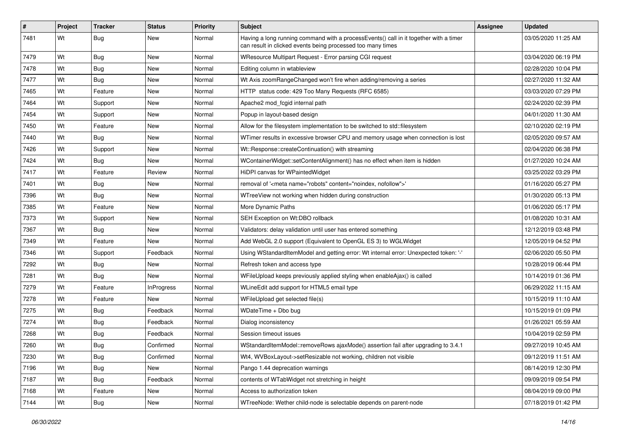| #    | Project | Tracker    | <b>Status</b>     | <b>Priority</b> | Subject                                                                                                                                              | Assignee | <b>Updated</b>      |
|------|---------|------------|-------------------|-----------------|------------------------------------------------------------------------------------------------------------------------------------------------------|----------|---------------------|
| 7481 | Wt      | Bug        | New               | Normal          | Having a long running command with a processEvents() call in it together with a timer<br>can result in clicked events being processed too many times |          | 03/05/2020 11:25 AM |
| 7479 | Wt      | <b>Bug</b> | New               | Normal          | WResource Multipart Request - Error parsing CGI request                                                                                              |          | 03/04/2020 06:19 PM |
| 7478 | Wt      | Bug        | New               | Normal          | Editing column in wtableview                                                                                                                         |          | 02/28/2020 10:04 PM |
| 7477 | Wt      | Bug        | New               | Normal          | Wt Axis zoomRangeChanged won't fire when adding/removing a series                                                                                    |          | 02/27/2020 11:32 AM |
| 7465 | Wt      | Feature    | New               | Normal          | HTTP status code: 429 Too Many Requests (RFC 6585)                                                                                                   |          | 03/03/2020 07:29 PM |
| 7464 | Wt      | Support    | New               | Normal          | Apache2 mod fcgid internal path                                                                                                                      |          | 02/24/2020 02:39 PM |
| 7454 | Wt      | Support    | New               | Normal          | Popup in layout-based design                                                                                                                         |          | 04/01/2020 11:30 AM |
| 7450 | Wt      | Feature    | New               | Normal          | Allow for the filesystem implementation to be switched to std::filesystem                                                                            |          | 02/10/2020 02:19 PM |
| 7440 | Wt      | Bug        | New               | Normal          | WTimer results in excessive browser CPU and memory usage when connection is lost                                                                     |          | 02/05/2020 09:57 AM |
| 7426 | Wt      | Support    | New               | Normal          | Wt::Response::createContinuation() with streaming                                                                                                    |          | 02/04/2020 06:38 PM |
| 7424 | Wt      | Bug        | New               | Normal          | WContainerWidget::setContentAlignment() has no effect when item is hidden                                                                            |          | 01/27/2020 10:24 AM |
| 7417 | Wt      | Feature    | Review            | Normal          | HiDPI canvas for WPaintedWidget                                                                                                                      |          | 03/25/2022 03:29 PM |
| 7401 | Wt      | Bug        | New               | Normal          | removal of ' <meta content="noindex, nofollow" name="robots"/> '                                                                                     |          | 01/16/2020 05:27 PM |
| 7396 | Wt      | Bug        | New               | Normal          | WTreeView not working when hidden during construction                                                                                                |          | 01/30/2020 05:13 PM |
| 7385 | Wt      | Feature    | New               | Normal          | More Dynamic Paths                                                                                                                                   |          | 01/06/2020 05:17 PM |
| 7373 | Wt      | Support    | New               | Normal          | SEH Exception on Wt:DBO rollback                                                                                                                     |          | 01/08/2020 10:31 AM |
| 7367 | Wt      | <b>Bug</b> | New               | Normal          | Validators: delay validation until user has entered something                                                                                        |          | 12/12/2019 03:48 PM |
| 7349 | Wt      | Feature    | New               | Normal          | Add WebGL 2.0 support (Equivalent to OpenGL ES 3) to WGLWidget                                                                                       |          | 12/05/2019 04:52 PM |
| 7346 | Wt      | Support    | Feedback          | Normal          | Using WStandardItemModel and getting error: Wt internal error: Unexpected token: '-'                                                                 |          | 02/06/2020 05:50 PM |
| 7292 | Wt      | Bug        | New               | Normal          | Refresh token and access type                                                                                                                        |          | 10/28/2019 06:44 PM |
| 7281 | Wt      | Bug        | New               | Normal          | WFileUpload keeps previously applied styling when enableAjax() is called                                                                             |          | 10/14/2019 01:36 PM |
| 7279 | Wt      | Feature    | <b>InProgress</b> | Normal          | WLineEdit add support for HTML5 email type                                                                                                           |          | 06/29/2022 11:15 AM |
| 7278 | Wt      | Feature    | New               | Normal          | WFileUpload get selected file(s)                                                                                                                     |          | 10/15/2019 11:10 AM |
| 7275 | Wt      | Bug        | Feedback          | Normal          | WDateTime + Dbo bug                                                                                                                                  |          | 10/15/2019 01:09 PM |
| 7274 | Wt      | Bug        | Feedback          | Normal          | Dialog inconsistency                                                                                                                                 |          | 01/26/2021 05:59 AM |
| 7268 | Wt      | <b>Bug</b> | Feedback          | Normal          | Session timeout issues                                                                                                                               |          | 10/04/2019 02:59 PM |
| 7260 | Wt      | <b>Bug</b> | Confirmed         | Normal          | WStandardItemModel::removeRows ajaxMode() assertion fail after upgrading to 3.4.1                                                                    |          | 09/27/2019 10:45 AM |
| 7230 | Wt      | <b>Bug</b> | Confirmed         | Normal          | Wt4, WVBoxLayout->setResizable not working, children not visible                                                                                     |          | 09/12/2019 11:51 AM |
| 7196 | Wt      | <b>Bug</b> | New               | Normal          | Pango 1.44 deprecation warnings                                                                                                                      |          | 08/14/2019 12:30 PM |
| 7187 | Wt      | Bug        | Feedback          | Normal          | contents of WTabWidget not stretching in height                                                                                                      |          | 09/09/2019 09:54 PM |
| 7168 | Wt      | Feature    | New               | Normal          | Access to authorization token                                                                                                                        |          | 08/04/2019 09:00 PM |
| 7144 | Wt      | <b>Bug</b> | New               | Normal          | WTreeNode: Wether child-node is selectable depends on parent-node                                                                                    |          | 07/18/2019 01:42 PM |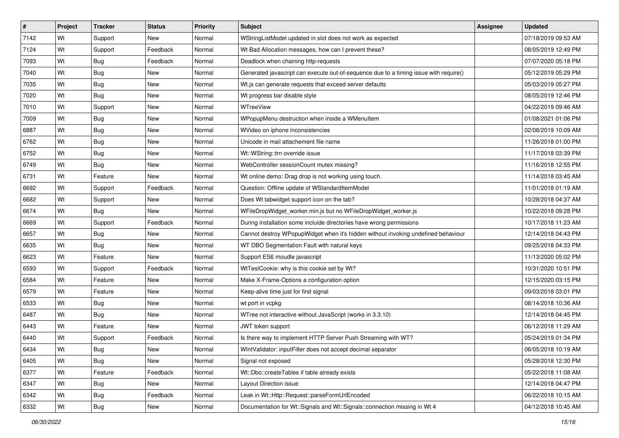| #    | Project | <b>Tracker</b> | <b>Status</b> | <b>Priority</b> | <b>Subject</b>                                                                        | Assignee | <b>Updated</b>      |
|------|---------|----------------|---------------|-----------------|---------------------------------------------------------------------------------------|----------|---------------------|
| 7142 | Wt      | Support        | New           | Normal          | WStringListModel updated in slot does not work as expected                            |          | 07/18/2019 09:53 AM |
| 7124 | Wt      | Support        | Feedback      | Normal          | Wt Bad Allocation messages, how can I prevent these?                                  |          | 08/05/2019 12:49 PM |
| 7093 | Wt      | <b>Bug</b>     | Feedback      | Normal          | Deadlock when chaining http-requests                                                  |          | 07/07/2020 05:18 PM |
| 7040 | Wt      | <b>Bug</b>     | <b>New</b>    | Normal          | Generated javascript can execute out-of-sequence due to a timing issue with require() |          | 05/12/2019 05:29 PM |
| 7035 | Wt      | Bug            | New           | Normal          | Wt.js can generate requests that exceed server defaults                               |          | 05/03/2019 05:27 PM |
| 7020 | Wt      | Bug            | New           | Normal          | Wt progress bar disable style                                                         |          | 08/05/2019 12:46 PM |
| 7010 | Wt      | Support        | New           | Normal          | WTreeView                                                                             |          | 04/22/2019 09:46 AM |
| 7009 | Wt      | Bug            | New           | Normal          | WPopupMenu destruction when inside a WMenuItem                                        |          | 01/08/2021 01:06 PM |
| 6887 | Wt      | Bug            | New           | Normal          | WVideo on iphone inconsistencies                                                      |          | 02/08/2019 10:09 AM |
| 6762 | Wt      | Bug            | New           | Normal          | Unicode in mail attachement file name                                                 |          | 11/26/2018 01:00 PM |
| 6752 | Wt      | <b>Bug</b>     | New           | Normal          | Wt::WString::trn override issue                                                       |          | 11/17/2018 03:39 PM |
| 6749 | Wt      | Bug            | New           | Normal          | WebController sessionCount mutex missing?                                             |          | 11/16/2018 12:55 PM |
| 6731 | Wt      | Feature        | <b>New</b>    | Normal          | Wt online demo: Drag drop is not working using touch.                                 |          | 11/14/2018 03:45 AM |
| 6692 | Wt      | Support        | Feedback      | Normal          | Question: Offline update of WStandardItemModel                                        |          | 11/01/2018 01:19 AM |
| 6682 | Wt      | Support        | <b>New</b>    | Normal          | Does Wt tabwidget support icon on the tab?                                            |          | 10/28/2018 04:37 AM |
| 6674 | Wt      | Bug            | New           | Normal          | WFileDropWidget_worker.min.js but no WFileDropWidget_worker.js                        |          | 10/22/2018 09:28 PM |
| 6669 | Wt      | Support        | Feedback      | Normal          | During installation some incluide directories have wrong permissions                  |          | 10/17/2018 11:23 AM |
| 6657 | Wt      | Bug            | New           | Normal          | Cannot destroy WPopupWidget when it's hidden without invoking undefined behaviour     |          | 12/14/2018 04:43 PM |
| 6635 | Wt      | Bug            | New           | Normal          | WT DBO Segmentation Fault with natural keys                                           |          | 09/25/2018 04:33 PM |
| 6623 | Wt      | Feature        | <b>New</b>    | Normal          | Support ES6 moudle javascript                                                         |          | 11/13/2020 05:02 PM |
| 6593 | Wt      | Support        | Feedback      | Normal          | WtTestCookie: why is this cookie set by Wt?                                           |          | 10/31/2020 10:51 PM |
| 6584 | Wt      | Feature        | New           | Normal          | Make X-Frame-Options a configuration option                                           |          | 12/15/2020 03:15 PM |
| 6579 | Wt      | Feature        | New           | Normal          | Keep-alive time just for first signal                                                 |          | 09/03/2018 03:01 PM |
| 6533 | Wt      | Bug            | New           | Normal          | wt port in vcpkg                                                                      |          | 08/14/2018 10:36 AM |
| 6487 | Wt      | <b>Bug</b>     | New           | Normal          | WTree not interactive without JavaScript (works in 3.3.10)                            |          | 12/14/2018 04:45 PM |
| 6443 | Wt      | Feature        | New           | Normal          | JWT token support                                                                     |          | 06/12/2018 11:29 AM |
| 6440 | Wt      | Support        | Feedback      | Normal          | Is there way to implement HTTP Server Push Streaming with WT?                         |          | 05/24/2019 01:34 PM |
| 6434 | Wt      | <b>Bug</b>     | New           | Normal          | WIntValidator: inputFilter does not accept decimal separator                          |          | 06/05/2018 10:19 AM |
| 6405 | Wt      | Bug            | New           | Normal          | Signal not exposed                                                                    |          | 05/28/2018 12:30 PM |
| 6377 | Wt      | Feature        | Feedback      | Normal          | Wt::Dbo::createTables if table already exists                                         |          | 05/22/2018 11:08 AM |
| 6347 | Wt      | Bug            | New           | Normal          | Layout Direction issue                                                                |          | 12/14/2018 04:47 PM |
| 6342 | Wt      | <b>Bug</b>     | Feedback      | Normal          | Leak in Wt::Http::Request::parseFormUrlEncoded                                        |          | 06/22/2018 10:15 AM |
| 6332 | Wt      | <b>Bug</b>     | New           | Normal          | Documentation for Wt::Signals and Wt::Signals::connection missing in Wt 4             |          | 04/12/2018 10:45 AM |